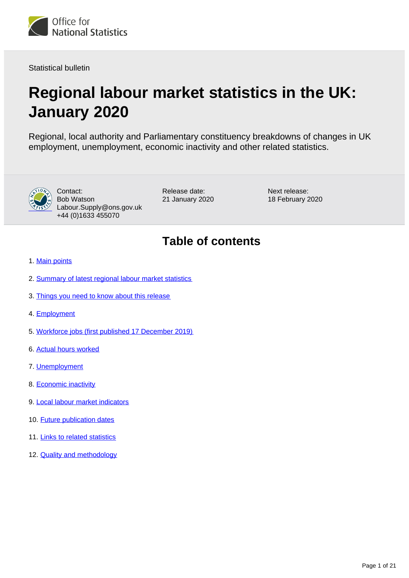<span id="page-0-0"></span>

Statistical bulletin

# **Regional labour market statistics in the UK: January 2020**

Regional, local authority and Parliamentary constituency breakdowns of changes in UK employment, unemployment, economic inactivity and other related statistics.



Contact: Bob Watson Labour.Supply@ons.gov.uk +44 (0)1633 455070

Release date: 21 January 2020 Next release: 18 February 2020

## **Table of contents**

- 1. [Main points](#page-1-0)
- 2. [Summary of latest regional labour market statistics](#page-1-1)
- 3. [Things you need to know about this release](#page-2-0)
- 4. [Employment](#page-5-0)
- 5. [Workforce jobs \(first published 17 December 2019\)](#page-8-0)
- 6. [Actual hours worked](#page-11-0)
- 7. [Unemployment](#page-13-0)
- 8. [Economic inactivity](#page-16-0)
- 9. [Local labour market indicators](#page-17-0)
- 10. **[Future publication dates](#page-19-0)**
- 11. [Links to related statistics](#page-19-1)
- 12. **[Quality and methodology](#page-19-2)**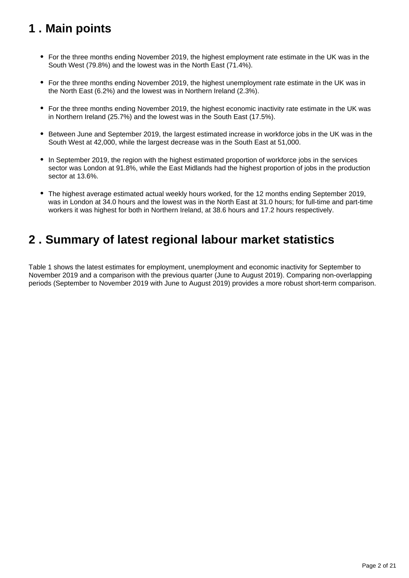## <span id="page-1-0"></span>**1 . Main points**

- For the three months ending November 2019, the highest employment rate estimate in the UK was in the South West (79.8%) and the lowest was in the North East (71.4%).
- For the three months ending November 2019, the highest unemployment rate estimate in the UK was in the North East (6.2%) and the lowest was in Northern Ireland (2.3%).
- For the three months ending November 2019, the highest economic inactivity rate estimate in the UK was in Northern Ireland (25.7%) and the lowest was in the South East (17.5%).
- Between June and September 2019, the largest estimated increase in workforce jobs in the UK was in the South West at 42,000, while the largest decrease was in the South East at 51,000.
- In September 2019, the region with the highest estimated proportion of workforce jobs in the services sector was London at 91.8%, while the East Midlands had the highest proportion of jobs in the production sector at 13.6%.
- The highest average estimated actual weekly hours worked, for the 12 months ending September 2019, was in London at 34.0 hours and the lowest was in the North East at 31.0 hours; for full-time and part-time workers it was highest for both in Northern Ireland, at 38.6 hours and 17.2 hours respectively.

## <span id="page-1-1"></span>**2 . Summary of latest regional labour market statistics**

Table 1 shows the latest estimates for employment, unemployment and economic inactivity for September to November 2019 and a comparison with the previous quarter (June to August 2019). Comparing non-overlapping periods (September to November 2019 with June to August 2019) provides a more robust short-term comparison.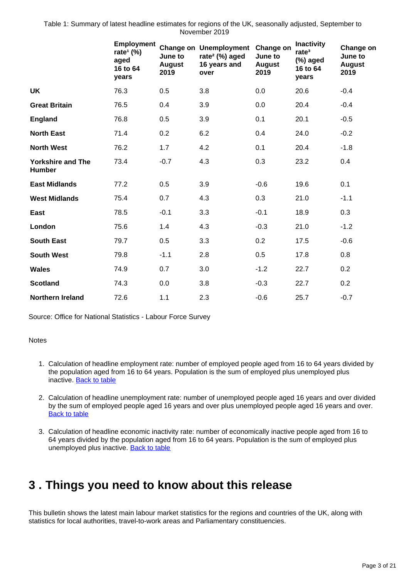Table 1: Summary of latest headline estimates for regions of the UK, seasonally adjusted, September to November 2019

|                                           | <b>Employment</b><br>rate <sup>1</sup> $(\%)$<br>aged<br>16 to 64<br>years | June to<br><b>August</b><br>2019 | <b>Change on Unemployment</b><br>rate <sup>2</sup> (%) aged<br>16 years and<br>over | Change on<br>June to<br><b>August</b><br>2019 | <b>Inactivity</b><br>rate <sup>3</sup><br>$(\%)$ aged<br>16 to 64<br>years | Change on<br>June to<br><b>August</b><br>2019 |
|-------------------------------------------|----------------------------------------------------------------------------|----------------------------------|-------------------------------------------------------------------------------------|-----------------------------------------------|----------------------------------------------------------------------------|-----------------------------------------------|
| <b>UK</b>                                 | 76.3                                                                       | 0.5                              | 3.8                                                                                 | 0.0                                           | 20.6                                                                       | $-0.4$                                        |
| <b>Great Britain</b>                      | 76.5                                                                       | 0.4                              | 3.9                                                                                 | 0.0                                           | 20.4                                                                       | $-0.4$                                        |
| <b>England</b>                            | 76.8                                                                       | 0.5                              | 3.9                                                                                 | 0.1                                           | 20.1                                                                       | $-0.5$                                        |
| <b>North East</b>                         | 71.4                                                                       | 0.2                              | 6.2                                                                                 | 0.4                                           | 24.0                                                                       | $-0.2$                                        |
| <b>North West</b>                         | 76.2                                                                       | 1.7                              | 4.2                                                                                 | 0.1                                           | 20.4                                                                       | $-1.8$                                        |
| <b>Yorkshire and The</b><br><b>Humber</b> | 73.4                                                                       | $-0.7$                           | 4.3                                                                                 | 0.3                                           | 23.2                                                                       | 0.4                                           |
| <b>East Midlands</b>                      | 77.2                                                                       | 0.5                              | 3.9                                                                                 | $-0.6$                                        | 19.6                                                                       | 0.1                                           |
| <b>West Midlands</b>                      | 75.4                                                                       | 0.7                              | 4.3                                                                                 | 0.3                                           | 21.0                                                                       | $-1.1$                                        |
| East                                      | 78.5                                                                       | $-0.1$                           | 3.3                                                                                 | $-0.1$                                        | 18.9                                                                       | 0.3                                           |
| London                                    | 75.6                                                                       | 1.4                              | 4.3                                                                                 | $-0.3$                                        | 21.0                                                                       | $-1.2$                                        |
| <b>South East</b>                         | 79.7                                                                       | 0.5                              | 3.3                                                                                 | 0.2                                           | 17.5                                                                       | $-0.6$                                        |
| <b>South West</b>                         | 79.8                                                                       | $-1.1$                           | 2.8                                                                                 | 0.5                                           | 17.8                                                                       | 0.8                                           |
| <b>Wales</b>                              | 74.9                                                                       | 0.7                              | 3.0                                                                                 | $-1.2$                                        | 22.7                                                                       | 0.2                                           |
| <b>Scotland</b>                           | 74.3                                                                       | 0.0                              | 3.8                                                                                 | $-0.3$                                        | 22.7                                                                       | 0.2                                           |
| <b>Northern Ireland</b>                   | 72.6                                                                       | 1.1                              | 2.3                                                                                 | $-0.6$                                        | 25.7                                                                       | $-0.7$                                        |

Source: Office for National Statistics - Labour Force Survey

**Notes** 

- 1. Calculation of headline employment rate: number of employed people aged from 16 to 64 years divided by the population aged from 16 to 64 years. Population is the sum of employed plus unemployed plus inactive. [Back to table](#page-0-0)
- 2. Calculation of headline unemployment rate: number of unemployed people aged 16 years and over divided by the sum of employed people aged 16 years and over plus unemployed people aged 16 years and over. [Back to table](#page-0-0)
- 3. Calculation of headline economic inactivity rate: number of economically inactive people aged from 16 to 64 years divided by the population aged from 16 to 64 years. Population is the sum of employed plus unemployed plus inactive. [Back to table](#page-0-0)

## <span id="page-2-0"></span>**3 . Things you need to know about this release**

This bulletin shows the latest main labour market statistics for the regions and countries of the UK, along with statistics for local authorities, travel-to-work areas and Parliamentary constituencies.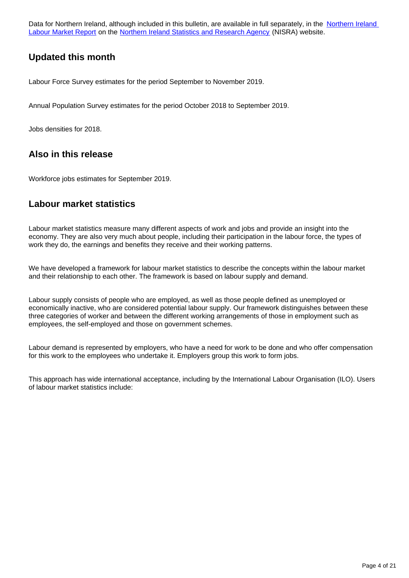Data for Northern Ireland, although included in this bulletin, are available in full separately, in the Northern Ireland [Labour Market Report](https://www.nisra.gov.uk/statistics/labour-market-and-social-welfare/labour-force-survey) on the [Northern Ireland Statistics and Research Agency](https://www.gov.uk/government/organisations/northern-ireland-statistics-and-research-agency) (NISRA) website.

## **Updated this month**

Labour Force Survey estimates for the period September to November 2019.

Annual Population Survey estimates for the period October 2018 to September 2019.

Jobs densities for 2018.

## **Also in this release**

Workforce jobs estimates for September 2019.

### **Labour market statistics**

Labour market statistics measure many different aspects of work and jobs and provide an insight into the economy. They are also very much about people, including their participation in the labour force, the types of work they do, the earnings and benefits they receive and their working patterns.

We have developed a framework for labour market statistics to describe the concepts within the labour market and their relationship to each other. The framework is based on labour supply and demand.

Labour supply consists of people who are employed, as well as those people defined as unemployed or economically inactive, who are considered potential labour supply. Our framework distinguishes between these three categories of worker and between the different working arrangements of those in employment such as employees, the self-employed and those on government schemes.

Labour demand is represented by employers, who have a need for work to be done and who offer compensation for this work to the employees who undertake it. Employers group this work to form jobs.

This approach has wide international acceptance, including by the International Labour Organisation (ILO). Users of labour market statistics include: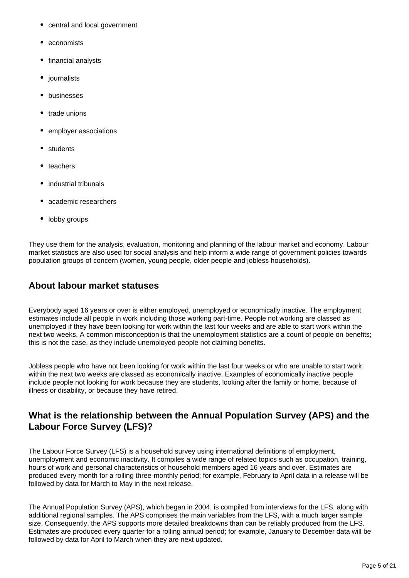- central and local government
- economists
- financial analysts
- journalists
- businesses
- trade unions
- employer associations
- students
- teachers
- industrial tribunals
- academic researchers
- lobby groups

They use them for the analysis, evaluation, monitoring and planning of the labour market and economy. Labour market statistics are also used for social analysis and help inform a wide range of government policies towards population groups of concern (women, young people, older people and jobless households).

## **About labour market statuses**

Everybody aged 16 years or over is either employed, unemployed or economically inactive. The employment estimates include all people in work including those working part-time. People not working are classed as unemployed if they have been looking for work within the last four weeks and are able to start work within the next two weeks. A common misconception is that the unemployment statistics are a count of people on benefits; this is not the case, as they include unemployed people not claiming benefits.

Jobless people who have not been looking for work within the last four weeks or who are unable to start work within the next two weeks are classed as economically inactive. Examples of economically inactive people include people not looking for work because they are students, looking after the family or home, because of illness or disability, or because they have retired.

## **What is the relationship between the Annual Population Survey (APS) and the Labour Force Survey (LFS)?**

The Labour Force Survey (LFS) is a household survey using international definitions of employment, unemployment and economic inactivity. It compiles a wide range of related topics such as occupation, training, hours of work and personal characteristics of household members aged 16 years and over. Estimates are produced every month for a rolling three-monthly period; for example, February to April data in a release will be followed by data for March to May in the next release.

The Annual Population Survey (APS), which began in 2004, is compiled from interviews for the LFS, along with additional regional samples. The APS comprises the main variables from the LFS, with a much larger sample size. Consequently, the APS supports more detailed breakdowns than can be reliably produced from the LFS. Estimates are produced every quarter for a rolling annual period; for example, January to December data will be followed by data for April to March when they are next updated.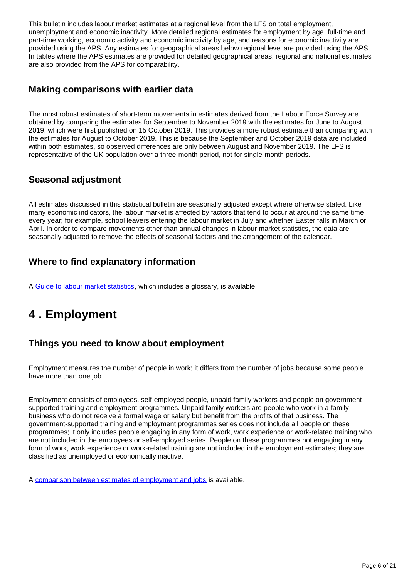This bulletin includes labour market estimates at a regional level from the LFS on total employment, unemployment and economic inactivity. More detailed regional estimates for employment by age, full-time and part-time working, economic activity and economic inactivity by age, and reasons for economic inactivity are provided using the APS. Any estimates for geographical areas below regional level are provided using the APS. In tables where the APS estimates are provided for detailed geographical areas, regional and national estimates are also provided from the APS for comparability.

## **Making comparisons with earlier data**

The most robust estimates of short-term movements in estimates derived from the Labour Force Survey are obtained by comparing the estimates for September to November 2019 with the estimates for June to August 2019, which were first published on 15 October 2019. This provides a more robust estimate than comparing with the estimates for August to October 2019. This is because the September and October 2019 data are included within both estimates, so observed differences are only between August and November 2019. The LFS is representative of the UK population over a three-month period, not for single-month periods.

## **Seasonal adjustment**

All estimates discussed in this statistical bulletin are seasonally adjusted except where otherwise stated. Like many economic indicators, the labour market is affected by factors that tend to occur at around the same time every year; for example, school leavers entering the labour market in July and whether Easter falls in March or April. In order to compare movements other than annual changes in labour market statistics, the data are seasonally adjusted to remove the effects of seasonal factors and the arrangement of the calendar.

## **Where to find explanatory information**

A [Guide to labour market statistics](https://www.ons.gov.uk/employmentandlabourmarket/peopleinwork/employmentandemployeetypes/methodologies/aguidetolabourmarketstatistics), which includes a glossary, is available.

## <span id="page-5-0"></span>**4 . Employment**

## **Things you need to know about employment**

Employment measures the number of people in work; it differs from the number of jobs because some people have more than one job.

Employment consists of employees, self-employed people, unpaid family workers and people on governmentsupported training and employment programmes. Unpaid family workers are people who work in a family business who do not receive a formal wage or salary but benefit from the profits of that business. The government-supported training and employment programmes series does not include all people on these programmes; it only includes people engaging in any form of work, work experience or work-related training who are not included in the employees or self-employed series. People on these programmes not engaging in any form of work, work experience or work-related training are not included in the employment estimates; they are classified as unemployed or economically inactive.

A [comparison between estimates of employment and jobs](http://www.ons.gov.uk/employmentandlabourmarket/peopleinwork/employmentandemployeetypes/articles/reconciliationofestimatesofjobs/latest) is available.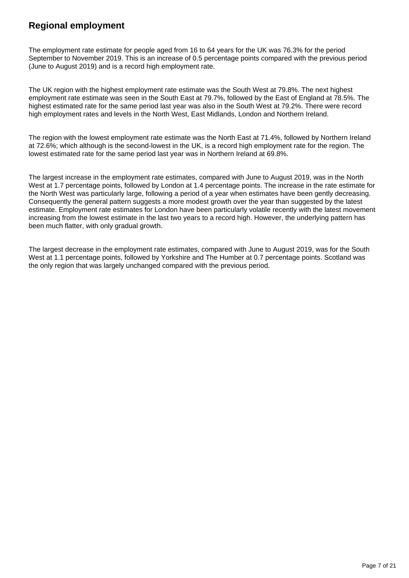## **Regional employment**

The employment rate estimate for people aged from 16 to 64 years for the UK was 76.3% for the period September to November 2019. This is an increase of 0.5 percentage points compared with the previous period (June to August 2019) and is a record high employment rate.

The UK region with the highest employment rate estimate was the South West at 79.8%. The next highest employment rate estimate was seen in the South East at 79.7%, followed by the East of England at 78.5%. The highest estimated rate for the same period last year was also in the South West at 79.2%. There were record high employment rates and levels in the North West, East Midlands, London and Northern Ireland.

The region with the lowest employment rate estimate was the North East at 71.4%, followed by Northern Ireland at 72.6%; which although is the second-lowest in the UK, is a record high employment rate for the region. The lowest estimated rate for the same period last year was in Northern Ireland at 69.8%.

The largest increase in the employment rate estimates, compared with June to August 2019, was in the North West at 1.7 percentage points, followed by London at 1.4 percentage points. The increase in the rate estimate for the North West was particularly large, following a period of a year when estimates have been gently decreasing. Consequently the general pattern suggests a more modest growth over the year than suggested by the latest estimate. Employment rate estimates for London have been particularly volatile recently with the latest movement increasing from the lowest estimate in the last two years to a record high. However, the underlying pattern has been much flatter, with only gradual growth.

The largest decrease in the employment rate estimates, compared with June to August 2019, was for the South West at 1.1 percentage points, followed by Yorkshire and The Humber at 0.7 percentage points. Scotland was the only region that was largely unchanged compared with the previous period.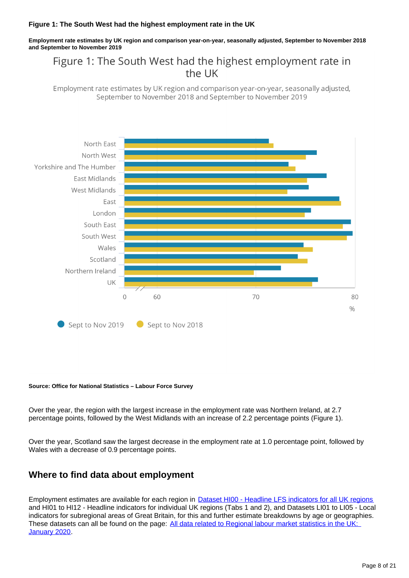#### **Figure 1: The South West had the highest employment rate in the UK**

**Employment rate estimates by UK region and comparison year-on-year, seasonally adjusted, September to November 2018 and September to November 2019**

## Figure 1: The South West had the highest employment rate in the UK

Employment rate estimates by UK region and comparison year-on-year, seasonally adjusted, September to November 2018 and September to November 2019



#### **Source: Office for National Statistics – Labour Force Survey**

Over the year, the region with the largest increase in the employment rate was Northern Ireland, at 2.7 percentage points, followed by the West Midlands with an increase of 2.2 percentage points (Figure 1).

Over the year, Scotland saw the largest decrease in the employment rate at 1.0 percentage point, followed by Wales with a decrease of 0.9 percentage points.

### **Where to find data about employment**

Employment estimates are available for each region in **[Dataset HI00 - Headline LFS indicators for all UK regions](https://www.ons.gov.uk/employmentandlabourmarket/peopleinwork/employmentandemployeetypes/datasets/headlinelabourforcesurveyindicatorsforallregionshi00)** and HI01 to HI12 - Headline indicators for individual UK regions (Tabs 1 and 2), and Datasets LI01 to LI05 - Local indicators for subregional areas of Great Britain, for this and further estimate breakdowns by age or geographies. These datasets can all be found on the page: [All data related to Regional labour market statistics in the UK:](https://www.ons.gov.uk/employmentandlabourmarket/peopleinwork/employmentandemployeetypes/bulletins/regionallabourmarket/january2020/relateddata)  [January 2020](https://www.ons.gov.uk/employmentandlabourmarket/peopleinwork/employmentandemployeetypes/bulletins/regionallabourmarket/january2020/relateddata).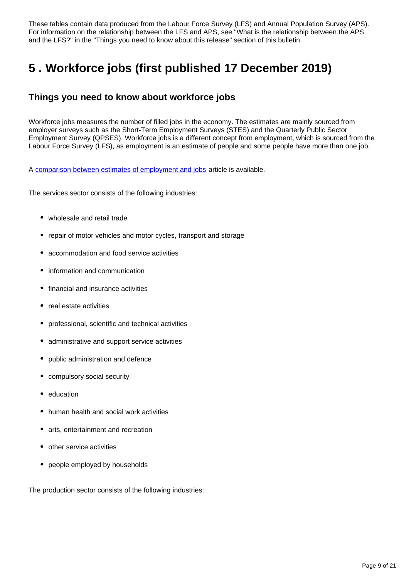These tables contain data produced from the Labour Force Survey (LFS) and Annual Population Survey (APS). For information on the relationship between the LFS and APS, see "What is the relationship between the APS and the LFS?" in the "Things you need to know about this release" section of this bulletin.

## <span id="page-8-0"></span>**5 . Workforce jobs (first published 17 December 2019)**

## **Things you need to know about workforce jobs**

Workforce jobs measures the number of filled jobs in the economy. The estimates are mainly sourced from employer surveys such as the Short-Term Employment Surveys (STES) and the Quarterly Public Sector Employment Survey (QPSES). Workforce jobs is a different concept from employment, which is sourced from the Labour Force Survey (LFS), as employment is an estimate of people and some people have more than one job.

A [comparison between estimates of employment and jobs](http://www.ons.gov.uk/employmentandlabourmarket/peopleinwork/employmentandemployeetypes/articles/reconciliationofestimatesofjobs/latest) article is available.

The services sector consists of the following industries:

- wholesale and retail trade
- repair of motor vehicles and motor cycles, transport and storage
- accommodation and food service activities
- information and communication
- financial and insurance activities
- real estate activities
- professional, scientific and technical activities
- administrative and support service activities
- public administration and defence
- compulsory social security
- education
- human health and social work activities
- arts, entertainment and recreation
- other service activities
- people employed by households

The production sector consists of the following industries: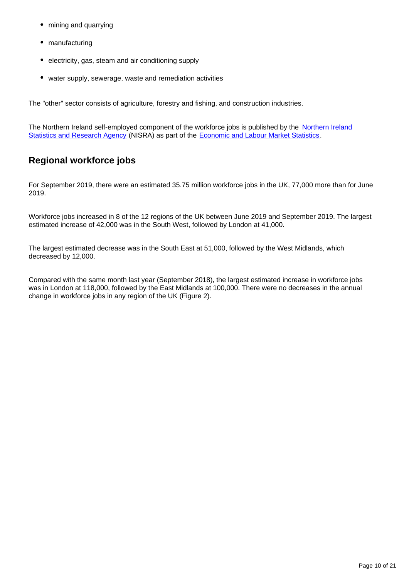- mining and quarrying
- manufacturing
- electricity, gas, steam and air conditioning supply
- water supply, sewerage, waste and remediation activities

The "other" sector consists of agriculture, forestry and fishing, and construction industries.

The [Northern Ireland](https://www.nisra.gov.uk/) self-employed component of the workforce jobs is published by the Northern Ireland [Statistics and Research Agency](https://www.nisra.gov.uk/) (NISRA) as part of the [Economic and Labour Market Statistics.](https://www.nisra.gov.uk/statistics/labour-market-and-social-welfare/labour-force-survey#toc-1)

## **Regional workforce jobs**

For September 2019, there were an estimated 35.75 million workforce jobs in the UK, 77,000 more than for June 2019.

Workforce jobs increased in 8 of the 12 regions of the UK between June 2019 and September 2019. The largest estimated increase of 42,000 was in the South West, followed by London at 41,000.

The largest estimated decrease was in the South East at 51,000, followed by the West Midlands, which decreased by 12,000.

Compared with the same month last year (September 2018), the largest estimated increase in workforce jobs was in London at 118,000, followed by the East Midlands at 100,000. There were no decreases in the annual change in workforce jobs in any region of the UK (Figure 2).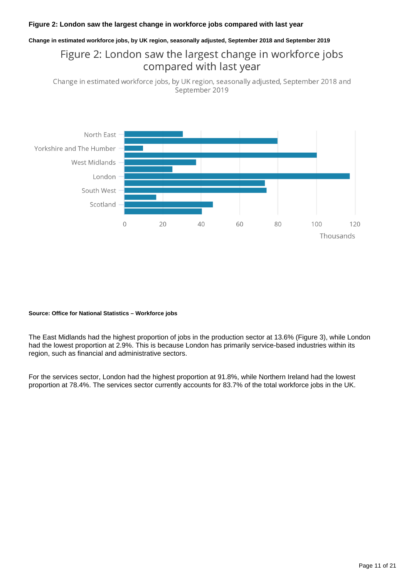#### **Figure 2: London saw the largest change in workforce jobs compared with last year**

#### **Change in estimated workforce jobs, by UK region, seasonally adjusted, September 2018 and September 2019**

## Figure 2: London saw the largest change in workforce jobs compared with last year

Change in estimated workforce jobs, by UK region, seasonally adjusted, September 2018 and September 2019



#### **Source: Office for National Statistics – Workforce jobs**

The East Midlands had the highest proportion of jobs in the production sector at 13.6% (Figure 3), while London had the lowest proportion at 2.9%. This is because London has primarily service-based industries within its region, such as financial and administrative sectors.

For the services sector, London had the highest proportion at 91.8%, while Northern Ireland had the lowest proportion at 78.4%. The services sector currently accounts for 83.7% of the total workforce jobs in the UK.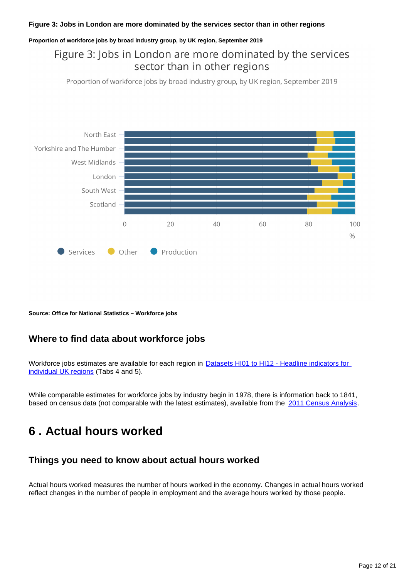#### **Figure 3: Jobs in London are more dominated by the services sector than in other regions**

#### **Proportion of workforce jobs by broad industry group, by UK region, September 2019**

## Figure 3: Jobs in London are more dominated by the services sector than in other regions

Proportion of workforce jobs by broad industry group, by UK region, September 2019



**Source: Office for National Statistics – Workforce jobs**

### **Where to find data about workforce jobs**

Workforce jobs estimates are available for each region in **Datasets HI01 to HI12 - Headline indicators for** [individual UK regions](http://www.ons.gov.uk/employmentandlabourmarket/peopleinwork/employmentandemployeetypes/bulletins/regionallabourmarket/january2020/relateddata/) (Tabs 4 and 5).

While comparable estimates for workforce jobs by industry begin in 1978, there is information back to 1841, based on census data (not comparable with the latest estimates), available from the [2011 Census Analysis](http://www.ons.gov.uk/ons/rel/census/2011-census-analysis/170-years-of-industry/index.html).

## <span id="page-11-0"></span>**6 . Actual hours worked**

## **Things you need to know about actual hours worked**

Actual hours worked measures the number of hours worked in the economy. Changes in actual hours worked reflect changes in the number of people in employment and the average hours worked by those people.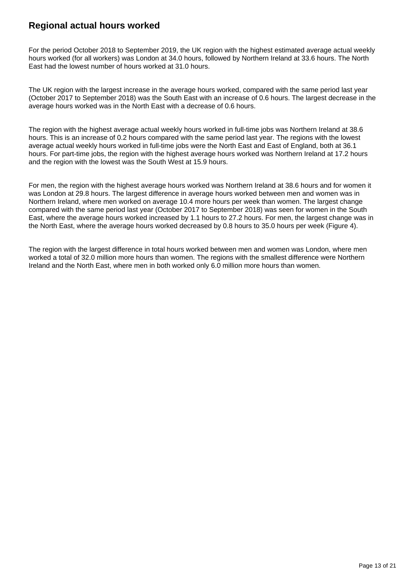## **Regional actual hours worked**

For the period October 2018 to September 2019, the UK region with the highest estimated average actual weekly hours worked (for all workers) was London at 34.0 hours, followed by Northern Ireland at 33.6 hours. The North East had the lowest number of hours worked at 31.0 hours.

The UK region with the largest increase in the average hours worked, compared with the same period last year (October 2017 to September 2018) was the South East with an increase of 0.6 hours. The largest decrease in the average hours worked was in the North East with a decrease of 0.6 hours.

The region with the highest average actual weekly hours worked in full-time jobs was Northern Ireland at 38.6 hours. This is an increase of 0.2 hours compared with the same period last year. The regions with the lowest average actual weekly hours worked in full-time jobs were the North East and East of England, both at 36.1 hours. For part-time jobs, the region with the highest average hours worked was Northern Ireland at 17.2 hours and the region with the lowest was the South West at 15.9 hours.

For men, the region with the highest average hours worked was Northern Ireland at 38.6 hours and for women it was London at 29.8 hours. The largest difference in average hours worked between men and women was in Northern Ireland, where men worked on average 10.4 more hours per week than women. The largest change compared with the same period last year (October 2017 to September 2018) was seen for women in the South East, where the average hours worked increased by 1.1 hours to 27.2 hours. For men, the largest change was in the North East, where the average hours worked decreased by 0.8 hours to 35.0 hours per week (Figure 4).

The region with the largest difference in total hours worked between men and women was London, where men worked a total of 32.0 million more hours than women. The regions with the smallest difference were Northern Ireland and the North East, where men in both worked only 6.0 million more hours than women.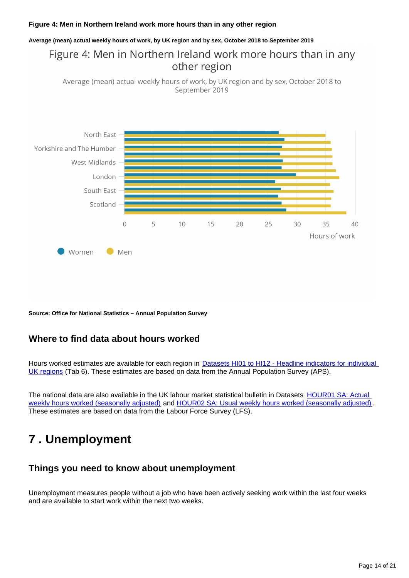#### **Figure 4: Men in Northern Ireland work more hours than in any other region**

#### **Average (mean) actual weekly hours of work, by UK region and by sex, October 2018 to September 2019**

## Figure 4: Men in Northern Ireland work more hours than in any other region

Average (mean) actual weekly hours of work, by UK region and by sex, October 2018 to September 2019



**Source: Office for National Statistics – Annual Population Survey**

### **Where to find data about hours worked**

Hours worked estimates are available for each region in **Datasets HI01 to HI12 - Headline indicators for individual** [UK regions](http://www.ons.gov.uk/employmentandlabourmarket/peopleinwork/employmentandemployeetypes/bulletins/regionallabourmarket/january2020/relateddata/) (Tab 6). These estimates are based on data from the Annual Population Survey (APS).

The national data are also available in the UK labour market statistical bulletin in Datasets [HOUR01 SA: Actual](http://www.ons.gov.uk/employmentandlabourmarket/peopleinwork/earningsandworkinghours/datasets/actualweeklyhoursworkedseasonallyadjustedhour01sa)  [weekly hours worked \(seasonally adjusted\)](http://www.ons.gov.uk/employmentandlabourmarket/peopleinwork/earningsandworkinghours/datasets/actualweeklyhoursworkedseasonallyadjustedhour01sa) and [HOUR02 SA: Usual weekly hours worked \(seasonally adjusted\)](http://www.ons.gov.uk/employmentandlabourmarket/peopleinwork/earningsandworkinghours/datasets/usualweeklyhoursworkedseasonallyadjustedhour02sa). These estimates are based on data from the Labour Force Survey (LFS).

## <span id="page-13-0"></span>**7 . Unemployment**

### **Things you need to know about unemployment**

Unemployment measures people without a job who have been actively seeking work within the last four weeks and are available to start work within the next two weeks.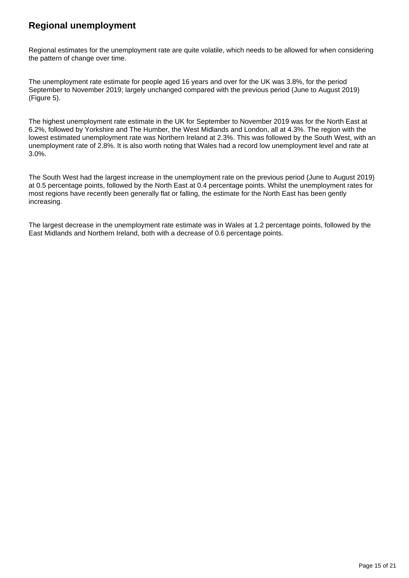## **Regional unemployment**

Regional estimates for the unemployment rate are quite volatile, which needs to be allowed for when considering the pattern of change over time.

The unemployment rate estimate for people aged 16 years and over for the UK was 3.8%, for the period September to November 2019; largely unchanged compared with the previous period (June to August 2019) (Figure 5).

The highest unemployment rate estimate in the UK for September to November 2019 was for the North East at 6.2%, followed by Yorkshire and The Humber, the West Midlands and London, all at 4.3%. The region with the lowest estimated unemployment rate was Northern Ireland at 2.3%. This was followed by the South West, with an unemployment rate of 2.8%. It is also worth noting that Wales had a record low unemployment level and rate at 3.0%.

The South West had the largest increase in the unemployment rate on the previous period (June to August 2019) at 0.5 percentage points, followed by the North East at 0.4 percentage points. Whilst the unemployment rates for most regions have recently been generally flat or falling, the estimate for the North East has been gently increasing.

The largest decrease in the unemployment rate estimate was in Wales at 1.2 percentage points, followed by the East Midlands and Northern Ireland, both with a decrease of 0.6 percentage points.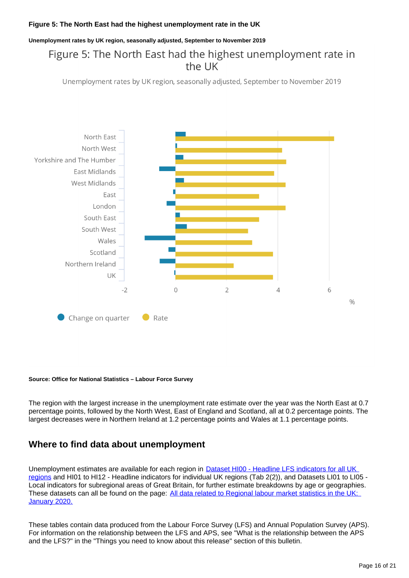#### **Figure 5: The North East had the highest unemployment rate in the UK**

**Unemployment rates by UK region, seasonally adjusted, September to November 2019**

## Figure 5: The North East had the highest unemployment rate in the UK

Unemployment rates by UK region, seasonally adjusted, September to November 2019



#### **Source: Office for National Statistics – Labour Force Survey**

The region with the largest increase in the unemployment rate estimate over the year was the North East at 0.7 percentage points, followed by the North West, East of England and Scotland, all at 0.2 percentage points. The largest decreases were in Northern Ireland at 1.2 percentage points and Wales at 1.1 percentage points.

## **Where to find data about unemployment**

Unemployment estimates are available for each region in **Dataset HI00 - Headline LFS indicators for all UK** [regions](http://www.ons.gov.uk/employmentandlabourmarket/peopleinwork/employmentandemployeetypes/datasets/headlinelabourforcesurveyindicatorsforallregionshi00) and HI01 to HI12 - Headline indicators for individual UK regions (Tab 2(2)), and Datasets LI01 to LI05 - Local indicators for subregional areas of Great Britain, for further estimate breakdowns by age or geographies. These datasets can all be found on the page: [All data related to Regional labour market statistics in the UK:](https://www.ons.gov.uk/employmentandlabourmarket/peopleinwork/employmentandemployeetypes/bulletins/regionallabourmarket/january2020/relateddata)  [January 2020.](https://www.ons.gov.uk/employmentandlabourmarket/peopleinwork/employmentandemployeetypes/bulletins/regionallabourmarket/january2020/relateddata)

These tables contain data produced from the Labour Force Survey (LFS) and Annual Population Survey (APS). For information on the relationship between the LFS and APS, see "What is the relationship between the APS and the LFS?" in the "Things you need to know about this release" section of this bulletin.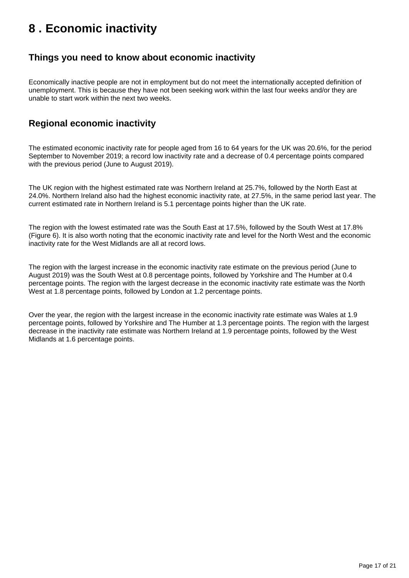## <span id="page-16-0"></span>**8 . Economic inactivity**

### **Things you need to know about economic inactivity**

Economically inactive people are not in employment but do not meet the internationally accepted definition of unemployment. This is because they have not been seeking work within the last four weeks and/or they are unable to start work within the next two weeks.

## **Regional economic inactivity**

The estimated economic inactivity rate for people aged from 16 to 64 years for the UK was 20.6%, for the period September to November 2019; a record low inactivity rate and a decrease of 0.4 percentage points compared with the previous period (June to August 2019).

The UK region with the highest estimated rate was Northern Ireland at 25.7%, followed by the North East at 24.0%. Northern Ireland also had the highest economic inactivity rate, at 27.5%, in the same period last year. The current estimated rate in Northern Ireland is 5.1 percentage points higher than the UK rate.

The region with the lowest estimated rate was the South East at 17.5%, followed by the South West at 17.8% (Figure 6). It is also worth noting that the economic inactivity rate and level for the North West and the economic inactivity rate for the West Midlands are all at record lows.

The region with the largest increase in the economic inactivity rate estimate on the previous period (June to August 2019) was the South West at 0.8 percentage points, followed by Yorkshire and The Humber at 0.4 percentage points. The region with the largest decrease in the economic inactivity rate estimate was the North West at 1.8 percentage points, followed by London at 1.2 percentage points.

Over the year, the region with the largest increase in the economic inactivity rate estimate was Wales at 1.9 percentage points, followed by Yorkshire and The Humber at 1.3 percentage points. The region with the largest decrease in the inactivity rate estimate was Northern Ireland at 1.9 percentage points, followed by the West Midlands at 1.6 percentage points.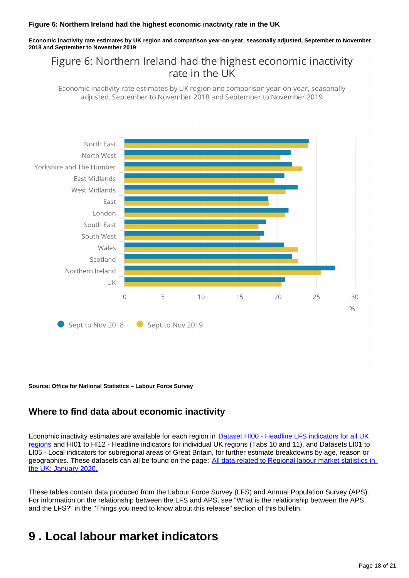#### **Figure 6: Northern Ireland had the highest economic inactivity rate in the UK**

**Economic inactivity rate estimates by UK region and comparison year-on-year, seasonally adjusted, September to November 2018 and September to November 2019**

## Figure 6: Northern Ireland had the highest economic inactivity rate in the UK

Economic inactivity rate estimates by UK region and comparison year-on-year, seasonally adjusted, September to November 2018 and September to November 2019



**Source: Office for National Statistics – Labour Force Survey**

## **Where to find data about economic inactivity**

Economic inactivity estimates are available for each region in **Dataset HI00 - Headline LFS indicators for all UK** [regions](http://www.ons.gov.uk/employmentandlabourmarket/peopleinwork/employmentandemployeetypes/datasets/headlinelabourforcesurveyindicatorsforallregionshi00) and HI01 to HI12 - Headline indicators for individual UK regions (Tabs 10 and 11), and Datasets LI01 to LI05 - Local indicators for subregional areas of Great Britain, for further estimate breakdowns by age, reason or geographies. These datasets can all be found on the page: All data related to Regional labour market statistics in [the UK: January 2020.](https://www.ons.gov.uk/employmentandlabourmarket/peopleinwork/employmentandemployeetypes/bulletins/regionallabourmarket/january2020/relateddata)

These tables contain data produced from the Labour Force Survey (LFS) and Annual Population Survey (APS). For information on the relationship between the LFS and APS, see "What is the relationship between the APS and the LFS?" in the "Things you need to know about this release" section of this bulletin.

## <span id="page-17-0"></span>**9 . Local labour market indicators**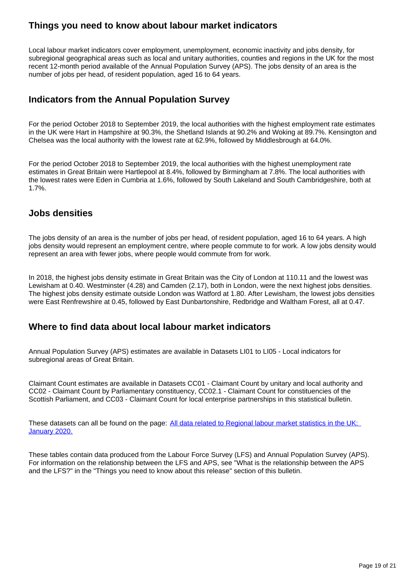## **Things you need to know about labour market indicators**

Local labour market indicators cover employment, unemployment, economic inactivity and jobs density, for subregional geographical areas such as local and unitary authorities, counties and regions in the UK for the most recent 12-month period available of the Annual Population Survey (APS). The jobs density of an area is the number of jobs per head, of resident population, aged 16 to 64 years.

## **Indicators from the Annual Population Survey**

For the period October 2018 to September 2019, the local authorities with the highest employment rate estimates in the UK were Hart in Hampshire at 90.3%, the Shetland Islands at 90.2% and Woking at 89.7%. Kensington and Chelsea was the local authority with the lowest rate at 62.9%, followed by Middlesbrough at 64.0%.

For the period October 2018 to September 2019, the local authorities with the highest unemployment rate estimates in Great Britain were Hartlepool at 8.4%, followed by Birmingham at 7.8%. The local authorities with the lowest rates were Eden in Cumbria at 1.6%, followed by South Lakeland and South Cambridgeshire, both at 1.7%.

## **Jobs densities**

The jobs density of an area is the number of jobs per head, of resident population, aged 16 to 64 years. A high jobs density would represent an employment centre, where people commute to for work. A low jobs density would represent an area with fewer jobs, where people would commute from for work.

In 2018, the highest jobs density estimate in Great Britain was the City of London at 110.11 and the lowest was Lewisham at 0.40. Westminster (4.28) and Camden (2.17), both in London, were the next highest jobs densities. The highest jobs density estimate outside London was Watford at 1.80. After Lewisham, the lowest jobs densities were East Renfrewshire at 0.45, followed by East Dunbartonshire, Redbridge and Waltham Forest, all at 0.47.

## **Where to find data about local labour market indicators**

Annual Population Survey (APS) estimates are available in Datasets LI01 to LI05 - Local indicators for subregional areas of Great Britain.

Claimant Count estimates are available in Datasets CC01 - Claimant Count by unitary and local authority and CC02 - Claimant Count by Parliamentary constituency, CC02.1 - Claimant Count for constituencies of the Scottish Parliament, and CC03 - Claimant Count for local enterprise partnerships in this statistical bulletin.

These datasets can all be found on the page: All data related to Regional labour market statistics in the UK: [January 2020.](https://www.ons.gov.uk/employmentandlabourmarket/peopleinwork/employmentandemployeetypes/bulletins/regionallabourmarket/january2020/relateddata)

These tables contain data produced from the Labour Force Survey (LFS) and Annual Population Survey (APS). For information on the relationship between the LFS and APS, see "What is the relationship between the APS and the LFS?" in the "Things you need to know about this release" section of this bulletin.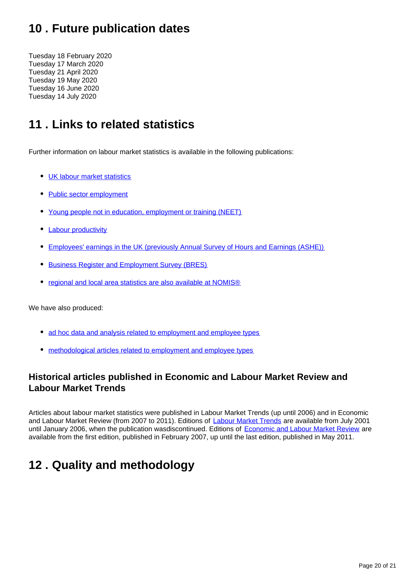## <span id="page-19-0"></span>**10 . Future publication dates**

Tuesday 18 February 2020 Tuesday 17 March 2020 Tuesday 21 April 2020 Tuesday 19 May 2020 Tuesday 16 June 2020 Tuesday 14 July 2020

## <span id="page-19-1"></span>**11 . Links to related statistics**

Further information on labour market statistics is available in the following publications:

- [UK labour market statistics](http://www.ons.gov.uk/employmentandlabourmarket/peopleinwork/employmentandemployeetypes/bulletins/uklabourmarket/previousReleases)
- [Public sector employment](http://www.ons.gov.uk/employmentandlabourmarket/peopleinwork/publicsectorpersonnel/bulletins/publicsectoremployment/previousReleases)
- [Young people not in education, employment or training \(NEET\)](http://www.ons.gov.uk/employmentandlabourmarket/peoplenotinwork/unemployment/bulletins/youngpeoplenotineducationemploymentortrainingneet/previousReleases)
- [Labour productivity](http://www.ons.gov.uk/employmentandlabourmarket/peopleinwork/labourproductivity/bulletins/labourproductivity/previousReleases)
- [Employees' earnings in the UK \(previously Annual Survey of Hours and Earnings \(ASHE\)\)](http://www.ons.gov.uk/employmentandlabourmarket/peopleinwork/earningsandworkinghours/bulletins/annualsurveyofhoursandearnings/previousReleases)
- **[Business Register and Employment Survey \(BRES\)](http://www.ons.gov.uk/employmentandlabourmarket/peopleinwork/employmentandemployeetypes/bulletins/businessregisterandemploymentsurveybresprovisionalresults/previousReleases)**
- [regional and local area statistics are also available at NOMIS®](http://www.nomisweb.co.uk/)

We have also produced:

- [ad hoc data and analysis related to employment and employee types](https://www.ons.gov.uk/employmentandlabourmarket/peopleinwork/employmentandemployeetypes/publications)
- [methodological articles related to employment and employee types](https://www.ons.gov.uk/employmentandlabourmarket/peopleinwork/employmentandemployeetypes/topicspecificmethodology)

## **Historical articles published in Economic and Labour Market Review and Labour Market Trends**

Articles about labour market statistics were published in Labour Market Trends (up until 2006) and in Economic and Labour Market Review (from 2007 to 2011). Editions of [Labour Market Trends](http://www.ons.gov.uk/ons/rel/lms/labour-market-trends--discontinued-/index.html) are available from July 2001 until January 2006, when the publication wasdiscontinued. Editions of [Economic and Labour Market Review](http://www.ons.gov.uk/ons/rel/elmr/economic-and-labour-market-review/index.html) are available from the first edition, published in February 2007, up until the last edition, published in May 2011.

## <span id="page-19-2"></span>**12 . Quality and methodology**